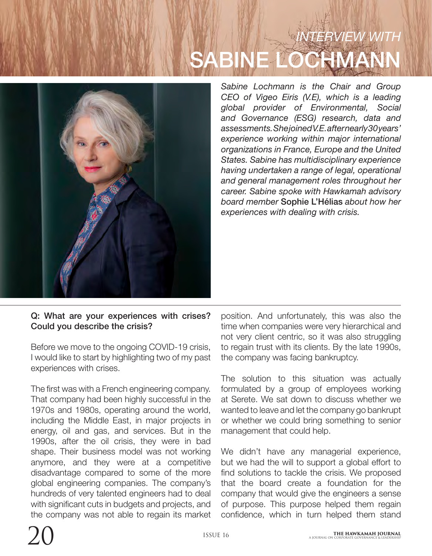# *INTERVIEW WITH* SABINE LOCHMANN



*Sabine Lochmann is the Chair and Group CEO of Vigeo Eiris (V.E), which is a leading global provider of Environmental, Social and Governance (ESG) research, data and assessments. She joined V.E. after nearly 30 years' experience working within major international organizations in France, Europe and the United States. Sabine has multidisciplinary experience having undertaken a range of legal, operational and general management roles throughout her career. Sabine spoke with Hawkamah advisory board member* Sophie L'Hélias *about how her experiences with dealing with crisis.*

#### Q: What are your experiences with crises? Could you describe the crisis?

Before we move to the ongoing COVID-19 crisis, I would like to start by highlighting two of my past experiences with crises.

The first was with a French engineering company. That company had been highly successful in the 1970s and 1980s, operating around the world, including the Middle East, in major projects in energy, oil and gas, and services. But in the 1990s, after the oil crisis, they were in bad shape. Their business model was not working anymore, and they were at a competitive disadvantage compared to some of the more global engineering companies. The company's hundreds of very talented engineers had to deal with significant cuts in budgets and projects, and the company was not able to regain its market

position. And unfortunately, this was also the time when companies were very hierarchical and not very client centric, so it was also struggling to regain trust with its clients. By the late 1990s, the company was facing bankruptcy.

The solution to this situation was actually formulated by a group of employees working at Serete. We sat down to discuss whether we wanted to leave and let the company go bankrupt or whether we could bring something to senior management that could help.

We didn't have any managerial experience, but we had the will to support a global effort to find solutions to tackle the crisis. We proposed that the board create a foundation for the company that would give the engineers a sense of purpose. This purpose helped them regain confidence, which in turn helped them stand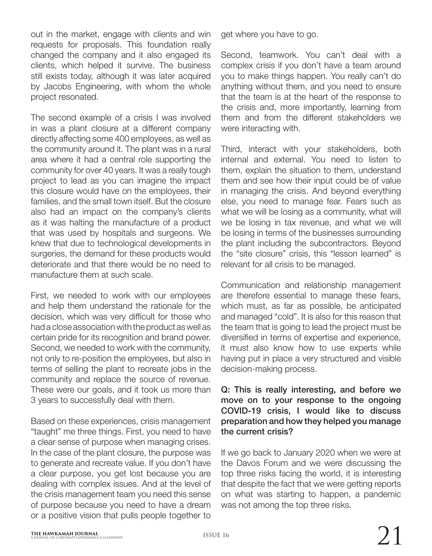out in the market, engage with clients and win requests for proposals. This foundation really changed the company and it also engaged its clients, which helped it survive. The business still exists today, although it was later acquired by Jacobs Engineering, with whom the whole project resonated.

The second example of a crisis I was involved in was a plant closure at a different company directly affecting some 400 employees, as well as the community around it. The plant was in a rural area where it had a central role supporting the community for over 40 years. It was a really tough project to lead as you can imagine the impact this closure would have on the employees, their families, and the small town itself. But the closure also had an impact on the company's clients as it was halting the manufacture of a product that was used by hospitals and surgeons. We knew that due to technological developments in surgeries, the demand for these products would deteriorate and that there would be no need to manufacture them at such scale.

First, we needed to work with our employees and help them understand the rationale for the decision, which was very difficult for those who had a close association with the product as well as certain pride for its recognition and brand power. Second, we needed to work with the community, not only to re-position the employees, but also in terms of selling the plant to recreate jobs in the community and replace the source of revenue. These were our goals, and it took us more than 3 years to successfully deal with them.

Based on these experiences, crisis management "taught" me three things. First, you need to have a clear sense of purpose when managing crises. In the case of the plant closure, the purpose was to generate and recreate value. If you don't have a clear purpose, you get lost because you are dealing with complex issues. And at the level of the crisis management team you need this sense of purpose because you need to have a dream or a positive vision that pulls people together to

get where you have to go.

Second, teamwork. You can't deal with a complex crisis if you don't have a team around you to make things happen. You really can't do anything without them, and you need to ensure that the team is at the heart of the response to the crisis and, more importantly, learning from them and from the different stakeholders we were interacting with.

Third, interact with your stakeholders, both internal and external. You need to listen to them, explain the situation to them, understand them and see how their input could be of value in managing the crisis. And beyond everything else, you need to manage fear. Fears such as what we will be losing as a community, what will we be losing in tax revenue, and what we will be losing in terms of the businesses surrounding the plant including the subcontractors. Beyond the "site closure" crisis, this "lesson learned" is relevant for all crisis to be managed.

Communication and relationship management are therefore essential to manage these fears, which must, as far as possible, be anticipated and managed "cold". It is also for this reason that the team that is going to lead the project must be diversified in terms of expertise and experience, it must also know how to use experts while having put in place a very structured and visible decision-making process.

#### Q: This is really interesting, and before we move on to your response to the ongoing COVID-19 crisis, I would like to discuss preparation and how they helped you manage the current crisis?

If we go back to January 2020 when we were at the Davos Forum and we were discussing the top three risks facing the world, it is interesting that despite the fact that we were getting reports on what was starting to happen, a pandemic was not among the top three risks.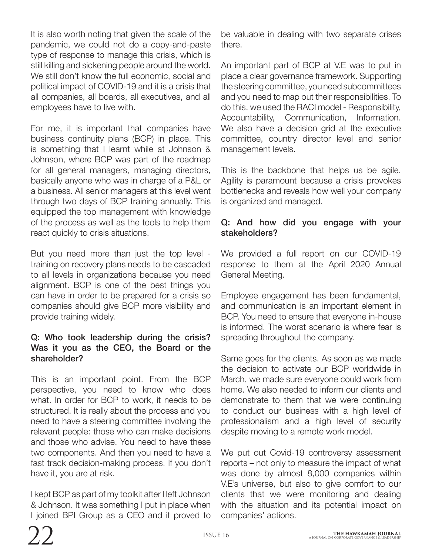It is also worth noting that given the scale of the pandemic, we could not do a copy-and-paste type of response to manage this crisis, which is still killing and sickening people around the world. We still don't know the full economic, social and political impact of COVID-19 and it is a crisis that all companies, all boards, all executives, and all employees have to live with.

For me, it is important that companies have business continuity plans (BCP) in place. This is something that I learnt while at Johnson & Johnson, where BCP was part of the roadmap for all general managers, managing directors, basically anyone who was in charge of a P&L or a business. All senior managers at this level went through two days of BCP training annually. This equipped the top management with knowledge of the process as well as the tools to help them react quickly to crisis situations.

But you need more than just the top level training on recovery plans needs to be cascaded to all levels in organizations because you need alignment. BCP is one of the best things you can have in order to be prepared for a crisis so companies should give BCP more visibility and provide training widely.

## Q: Who took leadership during the crisis? Was it you as the CEO, the Board or the shareholder?

This is an important point. From the BCP perspective, you need to know who does what. In order for BCP to work, it needs to be structured. It is really about the process and you need to have a steering committee involving the relevant people: those who can make decisions and those who advise. You need to have these two components. And then you need to have a fast track decision-making process. If you don't have it, you are at risk.

I kept BCP as part of my toolkit after I left Johnson & Johnson. It was something I put in place when I joined BPI Group as a CEO and it proved to

be valuable in dealing with two separate crises there.

An important part of BCP at V.E was to put in place a clear governance framework. Supporting the steering committee, you need subcommittees and you need to map out their responsibilities. To do this, we used the RACI model - Responsibility, Accountability, Communication, Information. We also have a decision grid at the executive committee, country director level and senior management levels.

This is the backbone that helps us be agile. Agility is paramount because a crisis provokes bottlenecks and reveals how well your company is organized and managed.

### Q: And how did you engage with your stakeholders?

We provided a full report on our COVID-19 response to them at the April 2020 Annual General Meeting.

Employee engagement has been fundamental, and communication is an important element in BCP. You need to ensure that everyone in-house is informed. The worst scenario is where fear is spreading throughout the company.

Same goes for the clients. As soon as we made the decision to activate our BCP worldwide in March, we made sure everyone could work from home. We also needed to inform our clients and demonstrate to them that we were continuing to conduct our business with a high level of professionalism and a high level of security despite moving to a remote work model.

We put out Covid-19 controversy assessment reports – not only to measure the impact of what was done by almost 8,000 companies within V.E's universe, but also to give comfort to our clients that we were monitoring and dealing with the situation and its potential impact on companies' actions.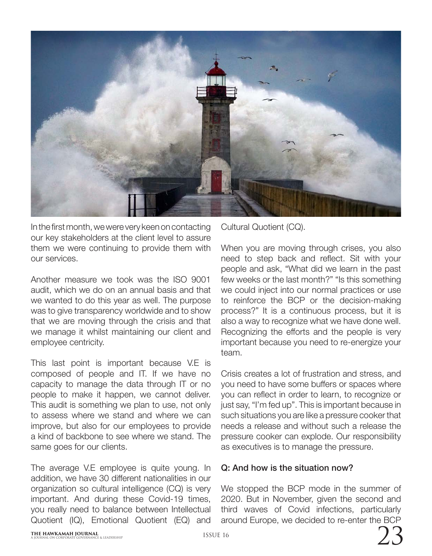

In the first month, we were very keen on contacting our key stakeholders at the client level to assure them we were continuing to provide them with our services.

Another measure we took was the ISO 9001 audit, which we do on an annual basis and that we wanted to do this year as well. The purpose was to give transparency worldwide and to show that we are moving through the crisis and that we manage it whilst maintaining our client and employee centricity.

This last point is important because V.E is composed of people and IT. If we have no capacity to manage the data through IT or no people to make it happen, we cannot deliver. This audit is something we plan to use, not only to assess where we stand and where we can improve, but also for our employees to provide a kind of backbone to see where we stand. The same goes for our clients.

The average V.E employee is quite young. In addition, we have 30 different nationalities in our organization so cultural intelligence (CQ) is very important. And during these Covid-19 times, you really need to balance between Intellectual Quotient (IQ), Emotional Quotient (EQ) and

Cultural Quotient (CQ).

When you are moving through crises, you also need to step back and reflect. Sit with your people and ask, "What did we learn in the past few weeks or the last month?" "Is this something we could inject into our normal practices or use to reinforce the BCP or the decision-making process?" It is a continuous process, but it is also a way to recognize what we have done well. Recognizing the efforts and the people is very important because you need to re-energize your team

Crisis creates a lot of frustration and stress, and you need to have some buffers or spaces where you can reflect in order to learn, to recognize or just say, "I'm fed up". This is important because in such situations you are like a pressure cooker that needs a release and without such a release the pressure cooker can explode. Our responsibility as executives is to manage the pressure.

## Q: And how is the situation now?

We stopped the BCP mode in the summer of 2020. But in November, given the second and third waves of Covid infections, particularly around Europe, we decided to re-enter the BCP